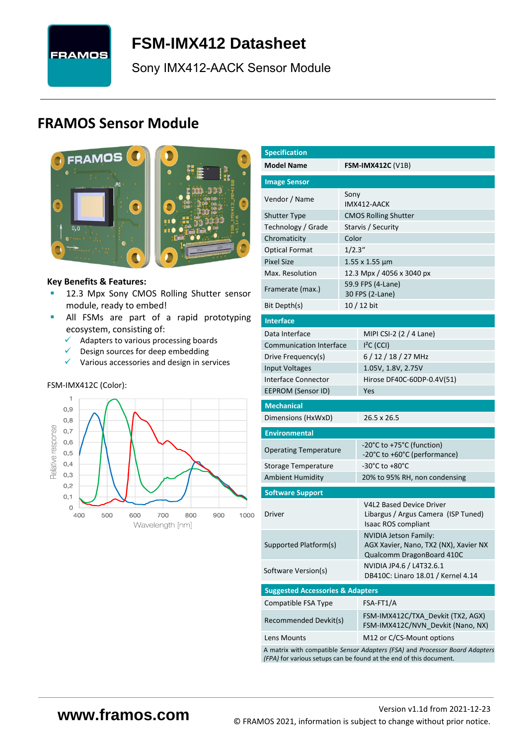

# <span id="page-0-7"></span>**FSM-IMX412 [Datasheet](#page-0-0)**

[Sony](#page-0-1) [IMX412-AACK](#page-0-2) Sensor Module

# **FRAMOS Sensor Module**



<span id="page-0-3"></span><span id="page-0-0"></span>

#### **Key Benefits & Features:**

- **[12.3](#page-0-4) Mpx [Sony](#page-0-1) [CMOS Rolling Shutter](#page-0-5) sensor** module, ready to embed!
- **E** All FSMs are part of a rapid prototyping ecosystem, consisting of:
	- ✓ Adapters to various processing boards
	- $\checkmark$  Design sources for deep embedding
	- $\checkmark$  Various accessories and design in services

#### FSM-IMX412C (Color):



<span id="page-0-6"></span><span id="page-0-5"></span><span id="page-0-4"></span><span id="page-0-2"></span><span id="page-0-1"></span>

| <b>Specification</b>                        |         |                                                                                                                                                   |  |  |  |  |
|---------------------------------------------|---------|---------------------------------------------------------------------------------------------------------------------------------------------------|--|--|--|--|
| <b>Model Name</b>                           |         | <b>FSM-IMX412C</b> (V1B)                                                                                                                          |  |  |  |  |
| <b>Image Sensor</b>                         |         |                                                                                                                                                   |  |  |  |  |
| Vendor / Name                               | Sony    |                                                                                                                                                   |  |  |  |  |
| <b>Shutter Type</b>                         |         | IMX412-AACK<br><b>CMOS Rolling Shutter</b>                                                                                                        |  |  |  |  |
| Technology / Grade                          |         | Starvis / Security                                                                                                                                |  |  |  |  |
| Chromaticity                                | Color   |                                                                                                                                                   |  |  |  |  |
| <b>Optical Format</b>                       | 1/2.3'' |                                                                                                                                                   |  |  |  |  |
| <b>Pixel Size</b>                           |         | $1.55$ x $1.55$ $\mu$ m                                                                                                                           |  |  |  |  |
| Max. Resolution                             |         | 12.3 Mpx / 4056 x 3040 px                                                                                                                         |  |  |  |  |
| Framerate (max.)                            |         | 59.9 FPS (4-Lane)                                                                                                                                 |  |  |  |  |
| Bit Depth(s)                                |         | 30 FPS (2-Lane)<br>10 / 12 bit                                                                                                                    |  |  |  |  |
| <b>Interface</b>                            |         |                                                                                                                                                   |  |  |  |  |
| Data Interface                              |         |                                                                                                                                                   |  |  |  |  |
| <b>Communication Interface</b>              |         | MIPI CSI-2 (2 / 4 Lane)<br>$I2C$ (CCI)                                                                                                            |  |  |  |  |
| Drive Frequency(s)                          |         | 6/12/18/27 MHz                                                                                                                                    |  |  |  |  |
| Input Voltages                              |         | 1.05V, 1.8V, 2.75V                                                                                                                                |  |  |  |  |
| <b>Interface Connector</b>                  |         |                                                                                                                                                   |  |  |  |  |
| EEPROM (Sensor ID)                          |         | Hirose DF40C-60DP-0.4V(51)<br>Yes                                                                                                                 |  |  |  |  |
|                                             |         |                                                                                                                                                   |  |  |  |  |
| <b>Mechanical</b><br>Dimensions (HxWxD)     |         | 26.5 x 26.5                                                                                                                                       |  |  |  |  |
|                                             |         |                                                                                                                                                   |  |  |  |  |
| <b>Environmental</b>                        |         |                                                                                                                                                   |  |  |  |  |
| <b>Operating Temperature</b>                |         | -20°C to +75°C (function)<br>-20°C to +60°C (performance)                                                                                         |  |  |  |  |
| Storage Temperature                         |         | -30°C to +80°C                                                                                                                                    |  |  |  |  |
| <b>Ambient Humidity</b>                     |         | 20% to 95% RH, non condensing                                                                                                                     |  |  |  |  |
| <b>Software Support</b>                     |         |                                                                                                                                                   |  |  |  |  |
| Driver                                      |         | <b>V4L2 Based Device Driver</b><br>Libargus / Argus Camera (ISP Tuned)<br>Isaac ROS compliant                                                     |  |  |  |  |
| Supported Platform(s)                       |         | <b>NVIDIA Jetson Family:</b><br>AGX Xavier, Nano, TX2 (NX), Xavier NX<br>Qualcomm DragonBoard 410C                                                |  |  |  |  |
| Software Version(s)                         |         | NVIDIA JP4.6 / L4T32.6.1<br>DB410C: Linaro 18.01 / Kernel 4.14                                                                                    |  |  |  |  |
| <b>Suggested Accessories &amp; Adapters</b> |         |                                                                                                                                                   |  |  |  |  |
| Compatible FSA Type                         |         | FSA-FT1/A                                                                                                                                         |  |  |  |  |
| Recommended Devkit(s)                       |         | FSM-IMX412C/TXA_Devkit (TX2, AGX)<br>FSM-IMX412C/NVN_Devkit (Nano, NX)                                                                            |  |  |  |  |
| Lens Mounts                                 |         | M12 or C/CS-Mount options                                                                                                                         |  |  |  |  |
|                                             |         | A matrix with compatible Sensor Adapters (FSA) and Processor Board Adapters<br>(FPA) for various setups can be found at the end of this document. |  |  |  |  |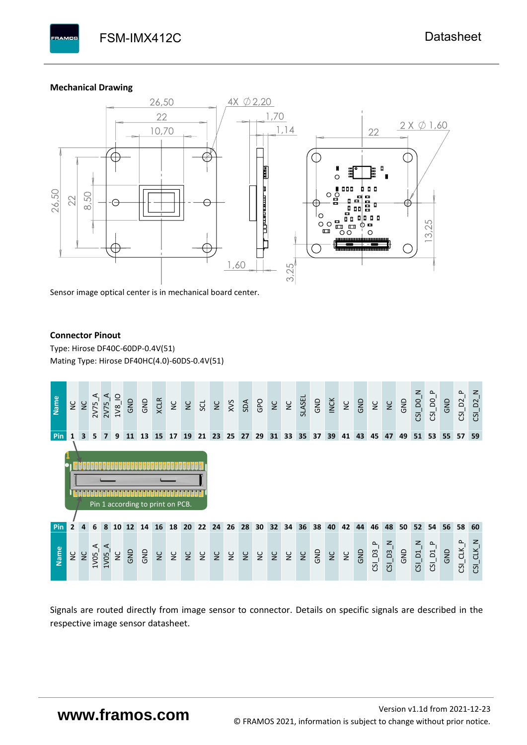#### **Mechanical Drawing**

**PAMOS** 



Sensor image optical center is in mechanical board center.

#### **Connector Pinout**

Type: [Hirose DF40C-60DP-0.4V\(51](#page-0-6)[\)](#page-0-6)  Mating Type: Hirose DF40HC(4.0)-60DS-0.4V(51)



Signals are routed directly from image sensor to connector. Details on specific signals are described in the respective image sensor datasheet.

# **www.framos.com**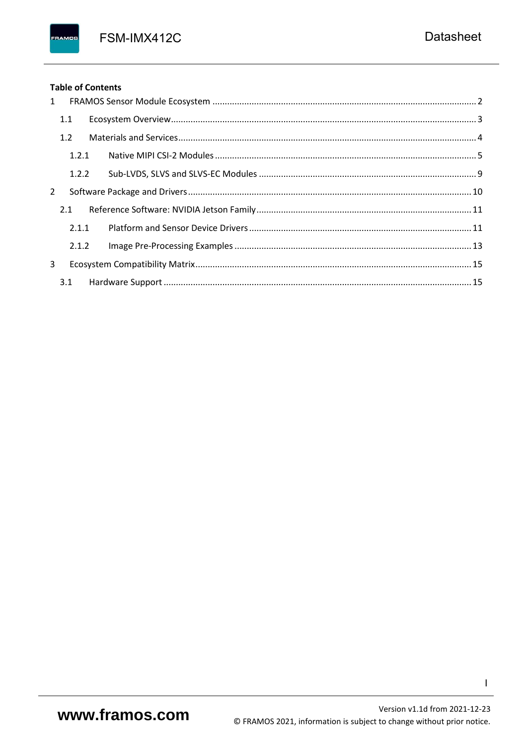FSM-IMX412C

## **Table of Contents**

FRAMOS

| 1 |       |  |
|---|-------|--|
|   | 1.1   |  |
|   | 1.2   |  |
|   | 1.2.1 |  |
|   | 1.2.2 |  |
| 2 |       |  |
|   | 2.1   |  |
|   | 2.1.1 |  |
|   | 2.1.2 |  |
| 3 |       |  |
|   |       |  |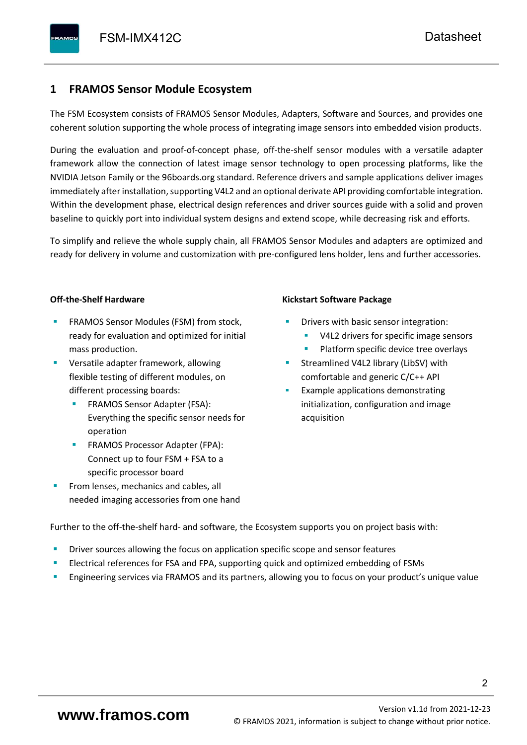# <span id="page-3-0"></span>**1 FRAMOS Sensor Module Ecosystem**

The FSM Ecosystem consists of FRAMOS Sensor Modules, Adapters, Software and Sources, and provides one coherent solution supporting the whole process of integrating image sensors into embedded vision products.

During the evaluation and proof-of-concept phase, off-the-shelf sensor modules with a versatile adapter framework allow the connection of latest image sensor technology to open processing platforms, like the NVIDIA Jetson Family or the 96boards.org standard. Reference drivers and sample applications deliver images immediately after installation, supporting V4L2 and an optional derivate API providing comfortable integration. Within the development phase, electrical design references and driver sources guide with a solid and proven baseline to quickly port into individual system designs and extend scope, while decreasing risk and efforts.

To simplify and relieve the whole supply chain, all FRAMOS Sensor Modules and adapters are optimized and ready for delivery in volume and customization with pre-configured lens holder, lens and further accessories.

#### **Off-the-Shelf Hardware**

- FRAMOS Sensor Modules (FSM) from stock, ready for evaluation and optimized for initial mass production.
- Versatile adapter framework, allowing flexible testing of different modules, on different processing boards:
	- FRAMOS Sensor Adapter (FSA): Everything the specific sensor needs for operation
	- FRAMOS Processor Adapter (FPA): Connect up to four FSM + FSA to a specific processor board
- From lenses, mechanics and cables, all needed imaging accessories from one hand

#### **Kickstart Software Package**

- Drivers with basic sensor integration:
	- V4L2 drivers for specific image sensors
	- Platform specific device tree overlays
- Streamlined V4L2 library (LibSV) with comfortable and generic C/C++ API
- Example applications demonstrating initialization, configuration and image acquisition

Further to the off-the-shelf hard- and software, the Ecosystem supports you on project basis with:

- Driver sources allowing the focus on application specific scope and sensor features
- Electrical references for FSA and FPA, supporting quick and optimized embedding of FSMs
- Engineering services via FRAMOS and its partners, allowing you to focus on your product's unique value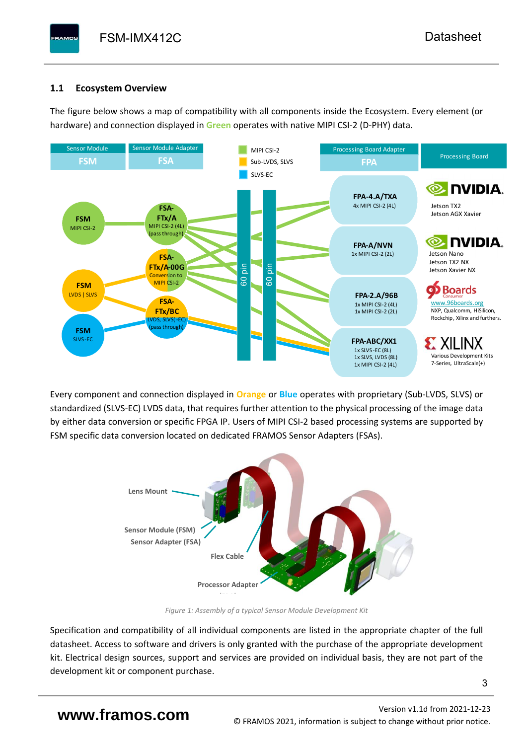# <span id="page-4-0"></span>**1.1 Ecosystem Overview**

**PAMOS** 

The figure below shows a map of compatibility with all components inside the Ecosystem. Every element (or hardware) and connection displayed in **Green** operates with native MIPI CSI-2 (D-PHY) data.



Every component and connection displayed in **Orange** or **Blue** operates with proprietary (Sub-LVDS, SLVS) or standardized (SLVS-EC) LVDS data, that requires further attention to the physical processing of the image data by either data conversion or specific FPGA IP. Users of MIPI CSI-2 based processing systems are supported by FSM specific data conversion located on dedicated FRAMOS Sensor Adapters (FSAs).



*Figure 1: Assembly of a typical Sensor Module Development Kit*

Specification and compatibility of all individual components are listed in the appropriate chapter of the full datasheet. Access to software and drivers is only granted with the purchase of the appropriate development kit. Electrical design sources, support and services are provided on individual basis, they are not part of the development kit or component purchase.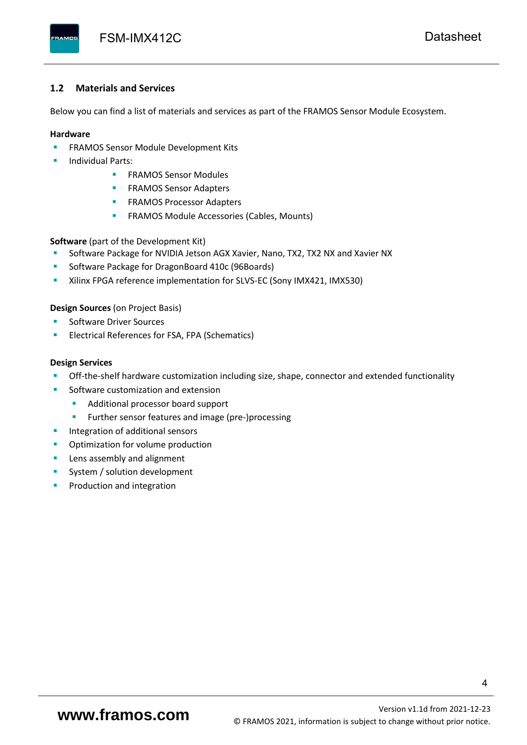#### <span id="page-5-0"></span>**1.2 Materials and Services**

Below you can find a list of materials and services as part of the FRAMOS Sensor Module Ecosystem.

#### **Hardware**

- **EXECTED FRAMOS Sensor Module Development Kits**
- **Individual Parts:** 
	- FRAMOS Sensor Modules
	- **FRAMOS Sensor Adapters**
	- **EXAMOS Processor Adapters**
	- **EXECTED** FRAMOS Module Accessories (Cables, Mounts)

**Software** (part of the Development Kit)

- Software Package for NVIDIA Jetson AGX Xavier, Nano, TX2, TX2 NX and Xavier NX
- Software Package for DragonBoard 410c (96Boards)
- **E** Xilinx FPGA reference implementation for SLVS-EC (Sony IMX421, IMX530)

#### **Design Sources** (on Project Basis)

- Software Driver Sources
- Electrical References for FSA, FPA (Schematics)

#### **Design Services**

- Off-the-shelf hardware customization including size, shape, connector and extended functionality
- Software customization and extension
	- Additional processor board support
	- Further sensor features and image (pre-)processing
- **■** Integration of additional sensors
- Optimization for volume production
- Lens assembly and alignment
- System / solution development
- Production and integration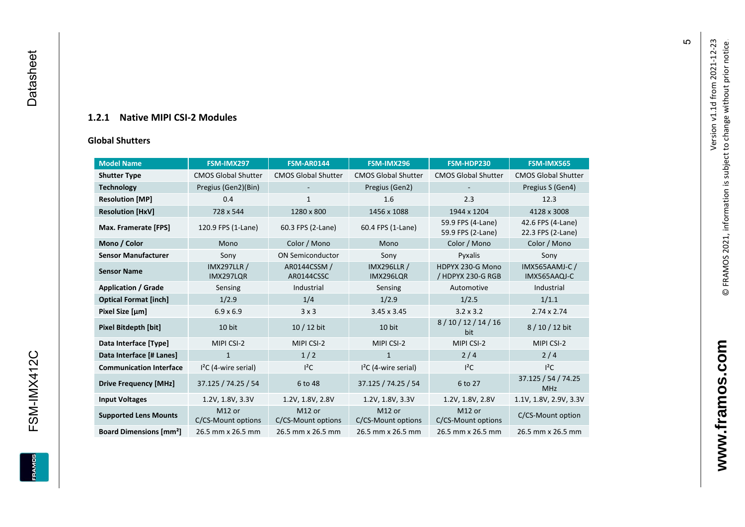## **1.2.1 Native MIPI CSI - 2 Modules**

#### **[Global Shu](#page-0-7)tters**

<span id="page-6-0"></span>

| <b>Model Name</b>                        | FSM-IMX297                      | <b>FSM-AR0144</b>            | FSM-IMX296                      | FSM-HDP230                             | <b>FSM-IMX565</b>                      |
|------------------------------------------|---------------------------------|------------------------------|---------------------------------|----------------------------------------|----------------------------------------|
| <b>Shutter Type</b>                      | <b>CMOS Global Shutter</b>      | <b>CMOS Global Shutter</b>   | <b>CMOS Global Shutter</b>      | <b>CMOS Global Shutter</b>             | <b>CMOS Global Shutter</b>             |
| <b>Technology</b>                        | Pregius (Gen2)(Bin)             |                              | Pregius (Gen2)                  |                                        | Pregius S (Gen4)                       |
| <b>Resolution [MP]</b>                   | 0.4                             | 1                            | 1.6                             | 2.3                                    | 12.3                                   |
| <b>Resolution [HxV]</b>                  | 728 x 544                       | 1280 x 800                   | 1456 x 1088                     | 1944 x 1204                            | 4128 x 3008                            |
| Max. Framerate [FPS]                     | 120.9 FPS (1-Lane)              | 60.3 FPS (2-Lane)            | 60.4 FPS (1-Lane)               | 59.9 FPS (4-Lane)<br>59.9 FPS (2-Lane) | 42.6 FPS (4-Lane)<br>22.3 FPS (2-Lane) |
| Mono / Color                             | Mono                            | Color / Mono                 | Mono                            | Color / Mono                           | Color / Mono                           |
| <b>Sensor Manufacturer</b>               | Sony                            | <b>ON Semiconductor</b>      | Sony                            | Pyxalis                                | Sony                                   |
| <b>Sensor Name</b>                       | <b>IMX297LLR /</b><br>IMX297LQR | AR0144CSSM /<br>AR0144CSSC   | <b>IMX296LLR /</b><br>IMX296LQR | HDPYX 230-G Mono<br>/ HDPYX 230-G RGB  | IMX565AAMJ-C /<br>IMX565AAQJ-C         |
| <b>Application / Grade</b>               | Sensing                         | Industrial                   | Sensing                         | Automotive                             | Industrial                             |
| <b>Optical Format [inch]</b>             | 1/2.9                           | 1/4                          | 1/2.9                           | 1/2.5                                  | 1/1.1                                  |
| Pixel Size [µm]                          | $6.9 \times 6.9$                | 3x3                          | $3.2 \times 3.2$<br>3.45 x 3.45 |                                        | $2.74 \times 2.74$                     |
| Pixel Bitdepth [bit]                     | 10 bit                          | 10 / 12 bit                  | 10 bit                          | 8/10/12/14/16<br>bit                   | 8/10/12 bit                            |
| Data Interface [Type]                    | MIPI CSI-2                      | MIPI CSI-2                   | MIPI CSI-2                      | MIPI CSI-2                             | MIPI CSI-2                             |
| Data Interface [# Lanes]                 | $\mathbf{1}$                    | 1/2                          | $\mathbf{1}$                    | 2/4                                    | 2/4                                    |
| <b>Communication Interface</b>           | $I2C$ (4-wire serial)           | $l^2C$                       | $I2C$ (4-wire serial)           | $I^2C$                                 | $I^2C$                                 |
| <b>Drive Frequency [MHz]</b>             | 37.125 / 74.25 / 54             | 6 to 48                      | 37.125 / 74.25 / 54             | 6 to 27                                | 37.125 / 54 / 74.25<br><b>MHz</b>      |
| <b>Input Voltages</b>                    | 1.2V, 1.8V, 3.3V                | 1.2V, 1.8V, 2.8V             | 1.2V, 1.8V, 3.3V                | 1.2V, 1.8V, 2.8V                       | 1.1V, 1.8V, 2.9V, 3.3V                 |
| <b>Supported Lens Mounts</b>             | M12 or<br>C/CS-Mount options    | M12 or<br>C/CS-Mount options | M12 or<br>C/CS-Mount options    | M12 or<br>C/CS-Mount options           | C/CS-Mount option                      |
| <b>Board Dimensions [mm<sup>2</sup>]</b> | 26.5 mm x 26.5 mm               | 26.5 mm x 26.5 mm            | 26.5 mm x 26.5 mm               | 26.5 mm x 26.5 mm                      | 26.5 mm x 26.5 mm                      |

**www.framos.com**

www.framos.com

 $\mathfrak{g}$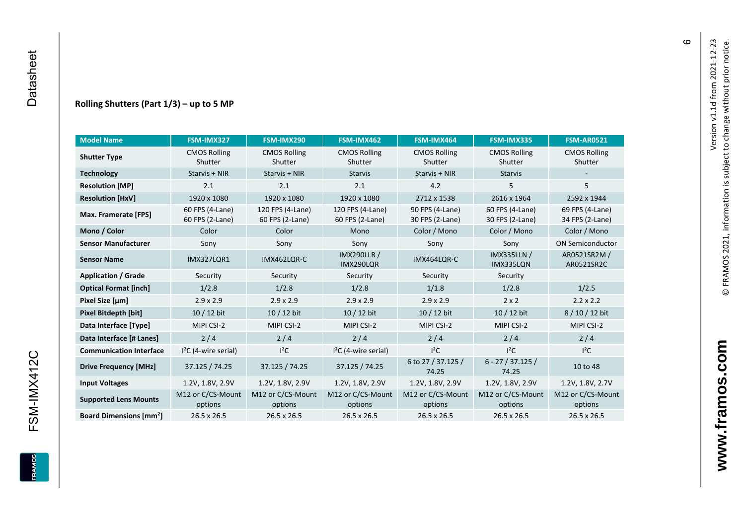#### **Rolling Shutters (Part 1/ 3 ) – up to 5 MP**

| <b>Model Name</b>                        | FSM-IMX327                         | FSM-IMX290                          | FSM-IMX462                                     | FSM-IMX464                         | FSM-IMX335                         | <b>FSM-AR0521</b>                  |
|------------------------------------------|------------------------------------|-------------------------------------|------------------------------------------------|------------------------------------|------------------------------------|------------------------------------|
| <b>Shutter Type</b>                      | <b>CMOS Rolling</b><br>Shutter     | <b>CMOS Rolling</b><br>Shutter      | <b>CMOS Rolling</b><br>Shutter                 | <b>CMOS Rolling</b><br>Shutter     | <b>CMOS Rolling</b><br>Shutter     | <b>CMOS Rolling</b><br>Shutter     |
| <b>Technology</b>                        | Starvis + NIR                      | Starvis + NIR                       | <b>Starvis</b>                                 | Starvis + NIR                      | <b>Starvis</b>                     |                                    |
| <b>Resolution [MP]</b>                   | 2.1                                | 2.1                                 | 2.1                                            | 4.2                                | 5                                  | 5                                  |
| <b>Resolution [HxV]</b>                  | 1920 x 1080                        | 1920 x 1080                         | 1920 x 1080                                    | 2712 x 1538                        | 2616 x 1964                        | 2592 x 1944                        |
| Max. Framerate [FPS]                     | 60 FPS (4-Lane)<br>60 FPS (2-Lane) | 120 FPS (4-Lane)<br>60 FPS (2-Lane) | 120 FPS (4-Lane)<br>60 FPS (2-Lane)            | 90 FPS (4-Lane)<br>30 FPS (2-Lane) | 60 FPS (4-Lane)<br>30 FPS (2-Lane) | 69 FPS (4-Lane)<br>34 FPS (2-Lane) |
| Mono / Color                             | Color                              | Color                               | Mono                                           | Color / Mono                       | Color / Mono                       | Color / Mono                       |
| <b>Sensor Manufacturer</b>               | Sony                               | Sony                                | Sony                                           | Sony                               | Sony                               | <b>ON Semiconductor</b>            |
| <b>Sensor Name</b>                       | <b>IMX327LOR1</b>                  | IMX462LOR-C                         | <b>IMX290LLR /</b><br>IMX464LQR-C<br>IMX290LQR |                                    | <b>IMX335LLN /</b><br>IMX335LQN    | AR0521SR2M /<br>AR0521SR2C         |
| <b>Application / Grade</b>               | Security                           | Security                            | Security                                       | Security                           | Security                           |                                    |
| <b>Optical Format [inch]</b>             | 1/2.8                              | 1/2.8                               | 1/2.8                                          | 1/1.8                              | 1/2.8                              | 1/2.5                              |
| Pixel Size [µm]                          | $2.9 \times 2.9$                   | $2.9 \times 2.9$                    | $2.9 \times 2.9$<br>$2.9 \times 2.9$           |                                    | $2 \times 2$                       | $2.2 \times 2.2$                   |
| <b>Pixel Bitdepth [bit]</b>              | 10 / 12 bit                        | 10 / 12 bit                         | 10 / 12 bit<br>10 / 12 bit                     |                                    | 10 / 12 bit                        | 8/10/12 bit                        |
| Data Interface [Type]                    | MIPI CSI-2                         | MIPI CSI-2                          | MIPI CSI-2                                     | MIPI CSI-2                         | MIPI CSI-2                         | MIPI CSI-2                         |
| Data Interface [# Lanes]                 | 2/4                                | 2/4                                 | 2/4                                            | 2/4                                | 2/4                                | 2/4                                |
| <b>Communication Interface</b>           | $I2C$ (4-wire serial)              | $l^2C$                              | $I2C$ (4-wire serial)                          | $I^2C$                             | $l^2C$                             | $l^2C$                             |
| <b>Drive Frequency [MHz]</b>             | 37.125 / 74.25                     | 37.125 / 74.25                      | 37.125 / 74.25                                 | 6 to 27 / 37.125 /<br>74.25        | $6 - 27 / 37.125 /$<br>74.25       | 10 to 48                           |
| <b>Input Voltages</b>                    | 1.2V, 1.8V, 2.9V                   | 1.2V, 1.8V, 2.9V                    | 1.2V, 1.8V, 2.9V                               | 1.2V, 1.8V, 2.9V                   | 1.2V, 1.8V, 2.9V                   | 1.2V, 1.8V, 2.7V                   |
| <b>Supported Lens Mounts</b>             | M12 or C/CS-Mount<br>options       | M12 or C/CS-Mount<br>options        | M12 or C/CS-Mount<br>options                   | M12 or C/CS-Mount<br>options       | M12 or C/CS-Mount<br>options       | M12 or C/CS-Mount<br>options       |
| <b>Board Dimensions [mm<sup>2</sup>]</b> | $26.5 \times 26.5$                 | $26.5 \times 26.5$                  | 26.5 x 26.5                                    | $26.5 \times 26.5$                 | 26.5 x 26.5                        | 26.5 x 26.5                        |

 $\pmb{\circ}$ 

**www.framos.com**

www.framos.com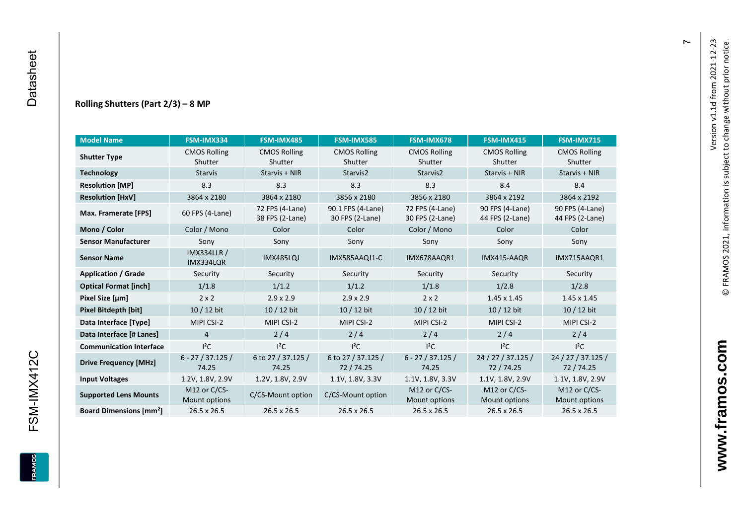#### **Rolling Shutters (Part 2/ 3 ) – 8 MP**

| <b>Model Name</b>                                     | FSM-IMX334                      | FSM-IMX485                                                       | <b>FSM-IMX585</b>                    | FSM-IMX678                         | <b>FSM-IMX415</b>                  | <b>FSM-IMX715</b>                  |
|-------------------------------------------------------|---------------------------------|------------------------------------------------------------------|--------------------------------------|------------------------------------|------------------------------------|------------------------------------|
| <b>CMOS Rolling</b><br><b>Shutter Type</b><br>Shutter |                                 | <b>CMOS Rolling</b><br><b>CMOS Rolling</b><br>Shutter<br>Shutter |                                      | <b>CMOS Rolling</b><br>Shutter     | <b>CMOS Rolling</b><br>Shutter     | <b>CMOS Rolling</b><br>Shutter     |
| <b>Technology</b>                                     | <b>Starvis</b>                  | Starvis + NIR                                                    | Starvis2                             | Starvis2                           | Starvis + NIR                      | Starvis + NIR                      |
| <b>Resolution [MP]</b>                                | 8.3                             | 8.3                                                              | 8.3                                  | 8.3                                | 8.4                                | 8.4                                |
| <b>Resolution [HxV]</b>                               | 3864 x 2180                     | 3864 x 2180                                                      | 3856 x 2180                          | 3856 x 2180                        | 3864 x 2192                        | 3864 x 2192                        |
| Max. Framerate [FPS]                                  | 60 FPS (4-Lane)                 | 72 FPS (4-Lane)<br>38 FPS (2-Lane)                               | 90.1 FPS (4-Lane)<br>30 FPS (2-Lane) | 72 FPS (4-Lane)<br>30 FPS (2-Lane) | 90 FPS (4-Lane)<br>44 FPS (2-Lane) | 90 FPS (4-Lane)<br>44 FPS (2-Lane) |
| Mono / Color                                          | Color / Mono                    | Color                                                            | Color                                | Color / Mono                       | Color                              | Color                              |
| <b>Sensor Manufacturer</b>                            | Sony                            | Sony                                                             | Sony                                 | Sony                               | Sony                               | Sony                               |
| <b>Sensor Name</b>                                    | <b>IMX334LLR /</b><br>IMX334LQR | <b>IMX485LQJ</b>                                                 | IMX585AAQJ1-C                        | IMX678AAQR1                        | IMX415-AAQR                        | IMX715AAQR1                        |
| <b>Application / Grade</b>                            | Security                        | Security                                                         | Security                             | Security                           | Security                           | Security                           |
| <b>Optical Format [inch]</b>                          | 1/1.8                           | 1/1.2                                                            | 1/1.2                                | 1/1.8                              | 1/2.8                              | 1/2.8                              |
| Pixel Size [µm]                                       | $2 \times 2$                    | $2.9 \times 2.9$                                                 | $2.9 \times 2.9$                     | $2 \times 2$                       | $1.45 \times 1.45$                 | $1.45 \times 1.45$                 |
| Pixel Bitdepth [bit]                                  | 10 / 12 bit                     | 10 / 12 bit                                                      | 10 / 12 bit                          | $10/12$ bit                        | 10 / 12 bit                        | $10/12$ bit                        |
| Data Interface [Type]                                 | MIPI CSI-2                      | MIPI CSI-2                                                       | MIPI CSI-2                           | MIPI CSI-2                         | MIPI CSI-2                         | MIPI CSI-2                         |
| Data Interface [# Lanes]                              | $\overline{4}$                  | 2/4                                                              | 2/4                                  | 2/4                                | 2/4                                | 2/4                                |
| <b>Communication Interface</b>                        | $I^2C$                          | $I^2C$                                                           | $I^2C$                               | $I^2C$                             | $I^2C$                             | $I^2C$                             |
| <b>Drive Frequency [MHz]</b>                          | $6 - 27 / 37.125 /$<br>74.25    | 6 to 27 / 37.125 /<br>74.25                                      | 6 to 27 / 37.125 /<br>72/74.25       | $6 - 27 / 37.125 /$<br>74.25       | 24 / 27 / 37.125 /<br>72 / 74.25   | 24 / 27 / 37.125 /<br>72 / 74.25   |
| <b>Input Voltages</b>                                 | 1.2V, 1.8V, 2.9V                | 1.2V, 1.8V, 2.9V                                                 | 1.1V, 1.8V, 3.3V                     | 1.1V, 1.8V, 3.3V                   | 1.1V, 1.8V, 2.9V                   | 1.1V, 1.8V, 2.9V                   |
| <b>Supported Lens Mounts</b>                          | M12 or C/CS-<br>Mount options   | C/CS-Mount option                                                | C/CS-Mount option                    | M12 or C/CS-<br>Mount options      | M12 or C/CS-<br>Mount options      | M12 or C/CS-<br>Mount options      |
| <b>Board Dimensions [mm<sup>2</sup>]</b>              | 26.5 x 26.5                     | $26.5 \times 26.5$                                               | 26.5 x 26.5                          | $26.5 \times 26.5$                 | 26.5 x 26.5                        | 26.5 x 26.5                        |

 $\overline{r}$ 

FSM-IMX412C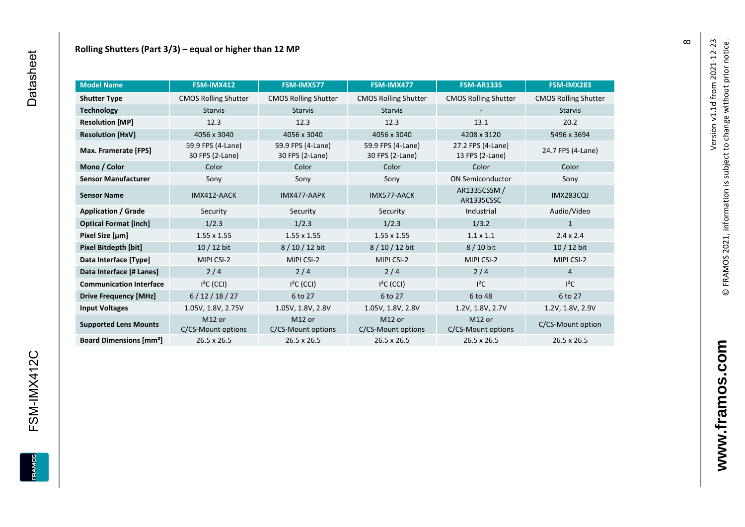| <b>Model Name</b>                        | FSM-IMX412                               | FSM-IMX577                               | FSM-IMX477                               | <b>FSM-AR1335</b>                    | FSM-IMX283                  |
|------------------------------------------|------------------------------------------|------------------------------------------|------------------------------------------|--------------------------------------|-----------------------------|
| <b>Shutter Type</b>                      | <b>CMOS Rolling Shutter</b>              | <b>CMOS Rolling Shutter</b>              | <b>CMOS Rolling Shutter</b>              | <b>CMOS Rolling Shutter</b>          | <b>CMOS Rolling Shutter</b> |
| <b>Technology</b>                        | <b>Starvis</b><br><b>Starvis</b>         |                                          | <b>Starvis</b>                           |                                      | <b>Starvis</b>              |
| <b>Resolution [MP]</b>                   | 12.3                                     | 12.3                                     | 12.3                                     | 13.1                                 | 20.2                        |
| <b>Resolution [HxV]</b>                  | 4056 x 3040                              | 4056 x 3040                              | 4056 x 3040                              | 4208 x 3120                          | 5496 x 3694                 |
| Max. Framerate [FPS]                     | 59.9 FPS (4-Lane)<br>30 FPS (2-Lane)     | 59.9 FPS (4-Lane)<br>30 FPS (2-Lane)     | 59.9 FPS (4-Lane)<br>30 FPS (2-Lane)     | 27.2 FPS (4-Lane)<br>13 FPS (2-Lane) | 24.7 FPS (4-Lane)           |
| Mono / Color                             | Color                                    | Color                                    | Color                                    | Color                                | Color                       |
| <b>Sensor Manufacturer</b>               | Sony                                     | Sony                                     | Sony                                     | <b>ON Semiconductor</b>              | Sony                        |
| <b>Sensor Name</b>                       | IMX412-AACK                              | IMX477-AAPK                              | IMX577-AACK                              | AR1335CSSM /<br>AR1335CSSC           | <b>IMX283CQJ</b>            |
| <b>Application / Grade</b>               | Security                                 | Security                                 | Security                                 | Industrial                           | Audio/Video                 |
| <b>Optical Format [inch]</b>             | 1/2.3                                    | 1/2.3                                    | 1/2.3                                    | 1/3.2                                | $\mathbf{1}$                |
| Pixel Size [µm]                          | $1.55 \times 1.55$                       | $1.55 \times 1.55$                       | $1.55 \times 1.55$                       | $1.1 \times 1.1$                     | $2.4 \times 2.4$            |
| Pixel Bitdepth [bit]                     | $10/12$ bit                              | 8/10/12 bit                              | 8 / 10 / 12 bit                          | 8 / 10 bit                           | 10 / 12 bit                 |
| Data Interface [Type]                    | MIPI CSI-2                               | MIPI CSI-2                               | MIPI CSI-2                               | MIPI CSI-2                           | MIPI CSI-2                  |
| Data Interface [# Lanes]                 | 2/4                                      | 2/4                                      | 2/4                                      | 2/4                                  | $\overline{4}$              |
| <b>Communication Interface</b>           | $I2C$ (CCI)                              | $I2C$ (CCI)                              | $I2C$ (CCI)                              | $l^2C$                               | $l^2C$                      |
| <b>Drive Frequency [MHz]</b>             | 6/12/18/27                               | 6 to 27                                  | 6 to 27                                  | 6 to 48                              | 6 to 27                     |
| <b>Input Voltages</b>                    | 1.05V, 1.8V, 2.75V                       | 1.05V, 1.8V, 2.8V                        | 1.05V, 1.8V, 2.8V                        | 1.2V, 1.8V, 2.7V                     | 1.2V, 1.8V, 2.9V            |
| <b>Supported Lens Mounts</b>             | M <sub>12</sub> or<br>C/CS-Mount options | M <sub>12</sub> or<br>C/CS-Mount options | M <sub>12</sub> or<br>C/CS-Mount options | M12 or<br>C/CS-Mount options         | C/CS-Mount option           |
| <b>Board Dimensions [mm<sup>2</sup>]</b> | 26.5 x 26.5                              | 26.5 x 26.5                              | 26.5 x 26.5                              | 26.5 x 26.5                          | 26.5 x 26.5                 |

FRAMOS

 $\infty$ 

www.framos.com **www.framos.com**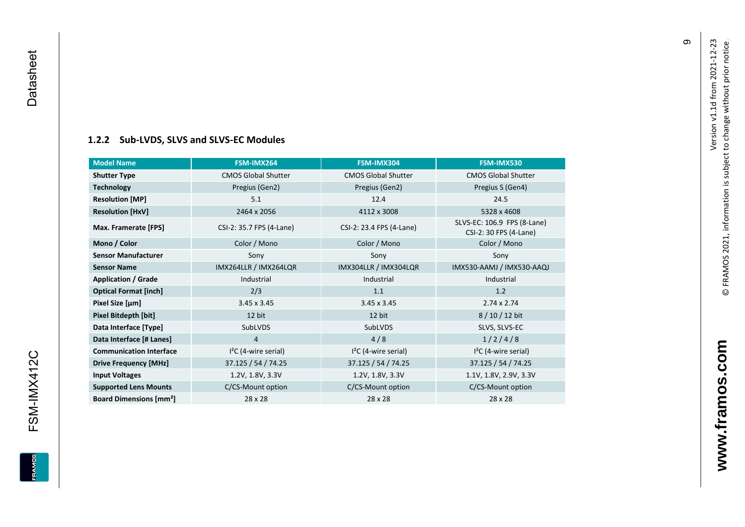<span id="page-10-0"></span>FSM-IMX412C

**EDWARE** 

### **[1.2.2](#page-0-7) Sub -LVDS, SLVS and SLVS -EC Modules**

| <b>Model Name</b>                        | FSM-IMX264                 | FSM-IMX304                 | FSM-IMX530                                            |
|------------------------------------------|----------------------------|----------------------------|-------------------------------------------------------|
| <b>Shutter Type</b>                      | <b>CMOS Global Shutter</b> | <b>CMOS Global Shutter</b> | <b>CMOS Global Shutter</b>                            |
| <b>Technology</b>                        | Pregius (Gen2)             | Pregius (Gen2)             | Pregius S (Gen4)                                      |
| <b>Resolution [MP]</b>                   | 5.1                        | 12.4                       | 24.5                                                  |
| <b>Resolution [HxV]</b>                  | 2464 x 2056                | 4112 x 3008                | 5328 x 4608                                           |
| Max. Framerate [FPS]                     | CSI-2: 35.7 FPS (4-Lane)   | CSI-2: 23.4 FPS (4-Lane)   | SLVS-EC: 106.9 FPS (8-Lane)<br>CSI-2: 30 FPS (4-Lane) |
| Mono / Color                             | Color / Mono               | Color / Mono               | Color / Mono                                          |
| <b>Sensor Manufacturer</b>               | Sony                       | Sony                       | Sony                                                  |
| <b>Sensor Name</b>                       | IMX264LLR / IMX264LQR      | IMX304LLR / IMX304LQR      | IMX530-AAMJ / IMX530-AAQJ                             |
| <b>Application / Grade</b>               | Industrial                 | Industrial                 | Industrial                                            |
| <b>Optical Format [inch]</b>             | 2/3                        | 1.1                        | 1.2                                                   |
| Pixel Size [µm]                          | $3.45 \times 3.45$         | $3.45 \times 3.45$         | $2.74 \times 2.74$                                    |
| Pixel Bitdepth [bit]                     | 12 bit                     | 12 bit                     | $8/10/12$ bit                                         |
| Data Interface [Type]                    | SubLVDS                    | SubLVDS                    | SLVS, SLVS-EC                                         |
| Data Interface [# Lanes]                 | 4                          | 4/8                        | 1/2/4/8                                               |
| <b>Communication Interface</b>           | $I2C$ (4-wire serial)      | $I2C$ (4-wire serial)      | $I2C$ (4-wire serial)                                 |
| <b>Drive Frequency [MHz]</b>             | 37.125 / 54 / 74.25        | 37.125 / 54 / 74.25        | 37.125 / 54 / 74.25                                   |
| <b>Input Voltages</b>                    | 1.2V, 1.8V, 3.3V           | 1.2V, 1.8V, 3.3V           | 1.1V, 1.8V, 2.9V, 3.3V                                |
| <b>Supported Lens Mounts</b>             | C/CS-Mount option          | C/CS-Mount option          | C/CS-Mount option                                     |
| <b>Board Dimensions [mm<sup>2</sup>]</b> | 28 x 28                    | 28 x 28                    | 28 x 28                                               |

თ

**www.framos.com**

www.framos.com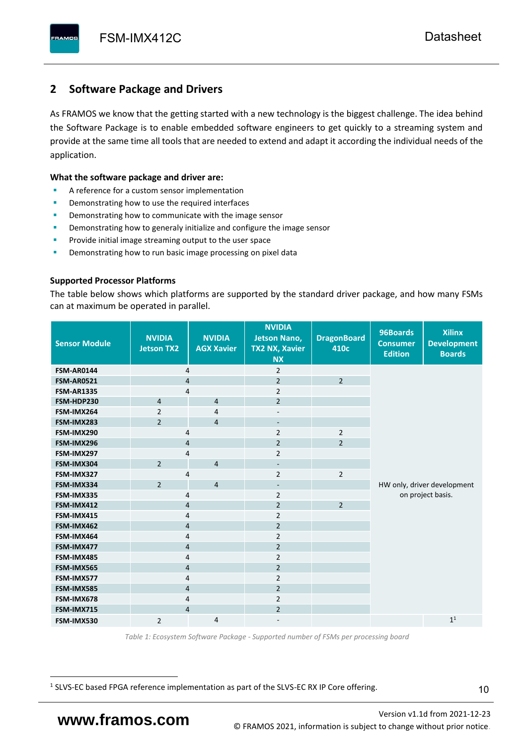# <span id="page-11-0"></span>**2 Software Package and Drivers**

As FRAMOS we know that the getting started with a new technology is the biggest challenge. The idea behind the Software Package is to enable embedded software engineers to get quickly to a streaming system and provide at the same time all tools that are needed to extend and adapt it according the individual needs of the application.

#### **What the software package and driver are:**

- A reference for a custom sensor implementation
- Demonstrating how to use the required interfaces
- Demonstrating how to communicate with the image sensor
- Demonstrating how to generaly initialize and configure the image sensor
- Provide initial image streaming output to the user space
- Demonstrating how to run basic image processing on pixel data

#### **Supported Processor Platforms**

The table below shows which platforms are supported by the standard driver package, and how many FSMs can at maximum be operated in parallel.

| <b>Sensor Module</b> | <b>NVIDIA</b><br><b>Jetson TX2</b> | <b>NVIDIA</b><br><b>AGX Xavier</b> | <b>NVIDIA</b><br><b>Jetson Nano,</b><br><b>TX2 NX, Xavier</b><br><b>NX</b> | <b>DragonBoard</b><br>410c | 96Boards<br><b>Consumer</b><br><b>Edition</b> | <b>Xilinx</b><br><b>Development</b><br><b>Boards</b> |  |
|----------------------|------------------------------------|------------------------------------|----------------------------------------------------------------------------|----------------------------|-----------------------------------------------|------------------------------------------------------|--|
| <b>FSM-AR0144</b>    | 4                                  |                                    | $\overline{2}$                                                             |                            |                                               |                                                      |  |
| <b>FSM-AR0521</b>    | $\overline{4}$                     |                                    | $\overline{2}$                                                             | $\overline{2}$             |                                               |                                                      |  |
| <b>FSM-AR1335</b>    | 4                                  |                                    | $\overline{2}$                                                             |                            |                                               |                                                      |  |
| FSM-HDP230           | $\overline{4}$                     | $\overline{4}$                     | $\overline{2}$                                                             |                            |                                               |                                                      |  |
| FSM-IMX264           | $\overline{2}$                     | $\overline{4}$                     | $\overline{\phantom{a}}$                                                   |                            |                                               |                                                      |  |
| FSM-IMX283           | $\overline{2}$                     | $\overline{4}$                     | $\overline{\phantom{a}}$                                                   |                            |                                               |                                                      |  |
| FSM-IMX290           | 4                                  |                                    | $\overline{2}$                                                             | $\overline{2}$             |                                               |                                                      |  |
| FSM-IMX296           | 4                                  |                                    | $\overline{2}$                                                             | $\overline{2}$             |                                               |                                                      |  |
| FSM-IMX297           | 4                                  |                                    | $\overline{2}$                                                             |                            |                                               |                                                      |  |
| FSM-IMX304           | $\overline{2}$                     | $\overline{4}$                     | $\overline{\phantom{a}}$                                                   |                            |                                               |                                                      |  |
| FSM-IMX327           | 4                                  |                                    | $\overline{2}$                                                             | $\overline{2}$             | HW only, driver development                   |                                                      |  |
| FSM-IMX334           | $\overline{2}$                     | $\overline{4}$                     | $\overline{\phantom{a}}$                                                   |                            |                                               |                                                      |  |
| FSM-IMX335           | 4                                  |                                    | $\overline{2}$                                                             |                            | on project basis.                             |                                                      |  |
| FSM-IMX412           | $\overline{4}$                     |                                    | $\overline{2}$                                                             | $\overline{2}$             |                                               |                                                      |  |
| FSM-IMX415           | 4                                  |                                    | $\overline{2}$                                                             |                            |                                               |                                                      |  |
| FSM-IMX462           | $\overline{\mathbf{4}}$            |                                    | $\overline{2}$                                                             |                            |                                               |                                                      |  |
| FSM-IMX464           | $\overline{4}$                     |                                    | $\overline{2}$                                                             |                            |                                               |                                                      |  |
| FSM-IMX477           | $\overline{4}$                     |                                    | $\overline{2}$                                                             |                            |                                               |                                                      |  |
| FSM-IMX485           | $\overline{4}$                     |                                    | $\overline{2}$                                                             |                            |                                               |                                                      |  |
| FSM-IMX565           | $\overline{4}$                     |                                    | $\overline{2}$                                                             |                            |                                               |                                                      |  |
| FSM-IMX577           | $\overline{4}$                     |                                    | $\overline{2}$                                                             |                            |                                               |                                                      |  |
| FSM-IMX585           | $\overline{4}$                     |                                    | $\overline{2}$                                                             |                            |                                               |                                                      |  |
| FSM-IMX678           | 4                                  |                                    | $\overline{2}$                                                             |                            |                                               |                                                      |  |
| FSM-IMX715           | $\overline{4}$                     |                                    | $\overline{2}$                                                             |                            |                                               |                                                      |  |
| FSM-IMX530           | $\overline{2}$                     | $\overline{4}$                     |                                                                            |                            |                                               | 1 <sup>1</sup>                                       |  |

*Table 1: Ecosystem Software Package - Supported number of FSMs per processing board*

<sup>1</sup> SLVS-EC based FPGA reference implementation as part of the SLVS-EC RX IP Core offering.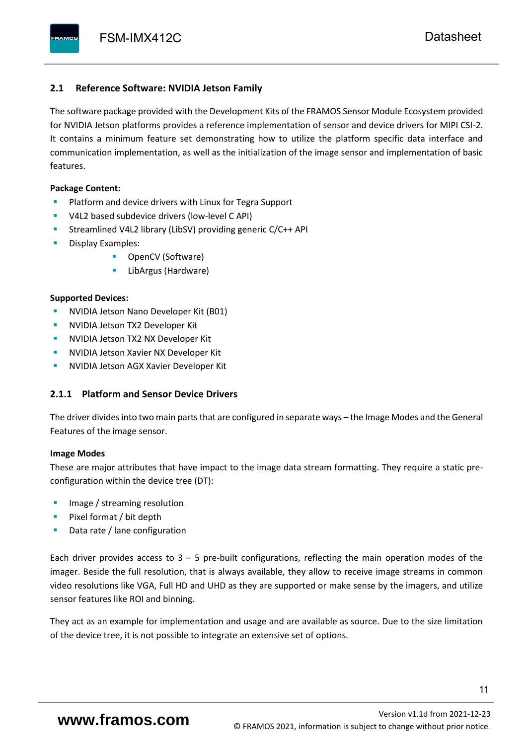### <span id="page-12-0"></span>**2.1 Reference Software: NVIDIA Jetson Family**

The software package provided with the Development Kits of the FRAMOS Sensor Module Ecosystem provided for NVIDIA Jetson platforms provides a reference implementation of sensor and device drivers for MIPI CSI-2. It contains a minimum feature set demonstrating how to utilize the platform specific data interface and communication implementation, as well as the initialization of the image sensor and implementation of basic features.

#### **Package Content:**

- Platform and device drivers with Linux for Tegra Support
- V4L2 based subdevice drivers (low-level C API)
- Streamlined V4L2 library (LibSV) providing generic C/C++ API
- Display Examples:
	- OpenCV (Software)
	- LibArgus (Hardware)

#### **Supported Devices:**

- **NVIDIA Jetson Nano Developer Kit (B01)**
- **NVIDIA Jetson TX2 Developer Kit**
- NVIDIA Jetson TX2 NX Developer Kit
- **NVIDIA Jetson Xavier NX Developer Kit**
- **NVIDIA Jetson AGX Xavier Developer Kit**

## <span id="page-12-1"></span>**2.1.1 Platform and Sensor Device Drivers**

The driver divides into two main parts that are configured in separate ways – the Image Modes and the General Features of the image sensor.

#### **Image Modes**

These are major attributes that have impact to the image data stream formatting. They require a static preconfiguration within the device tree (DT):

- Image / streaming resolution
- Pixel format / bit depth
- Data rate / lane configuration

Each driver provides access to  $3 - 5$  pre-built configurations, reflecting the main operation modes of the imager. Beside the full resolution, that is always available, they allow to receive image streams in common video resolutions like VGA, Full HD and UHD as they are supported or make sense by the imagers, and utilize sensor features like ROI and binning.

They act as an example for implementation and usage and are available as source. Due to the size limitation of the device tree, it is not possible to integrate an extensive set of options.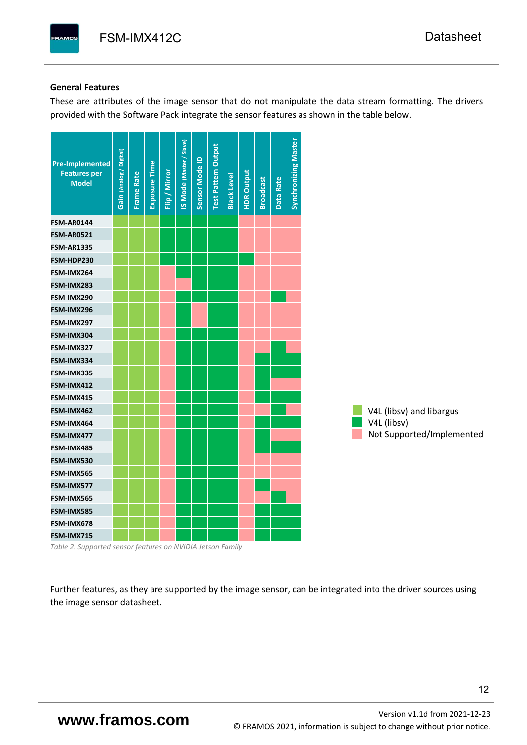#### **General Features**

These are attributes of the image sensor that do not manipulate the data stream formatting. The drivers provided with the Software Pack integrate the sensor features as shown in the table below.

| <b>Pre-Implemented</b><br><b>Features per</b><br><b>Model</b> | Gain (Analog / Digital) | <b>Frame Rate</b> | Exposure Time | Flip / Mirror | <b>IS Mode (Master / Slave)</b> | Sensor Mode ID | <b>Test Pattern Output</b> | <b>Black Level</b> | <b>HDR Output</b> | <b>Broadcast</b> | Data Rate | <b>Synchronizing Master</b> |                           |
|---------------------------------------------------------------|-------------------------|-------------------|---------------|---------------|---------------------------------|----------------|----------------------------|--------------------|-------------------|------------------|-----------|-----------------------------|---------------------------|
| <b>FSM-AR0144</b>                                             |                         |                   |               |               |                                 |                |                            |                    |                   |                  |           |                             |                           |
| <b>FSM-AR0521</b>                                             |                         |                   |               |               |                                 |                |                            |                    |                   |                  |           |                             |                           |
| <b>FSM-AR1335</b>                                             |                         |                   |               |               |                                 |                |                            |                    |                   |                  |           |                             |                           |
| FSM-HDP230                                                    |                         |                   |               |               |                                 |                |                            |                    |                   |                  |           |                             |                           |
| FSM-IMX264                                                    |                         |                   |               |               |                                 |                |                            |                    |                   |                  |           |                             |                           |
| FSM-IMX283                                                    |                         |                   |               |               |                                 |                |                            |                    |                   |                  |           |                             |                           |
| FSM-IMX290                                                    |                         |                   |               |               |                                 |                |                            |                    |                   |                  |           |                             |                           |
| FSM-IMX296                                                    |                         |                   |               |               |                                 |                |                            |                    |                   |                  |           |                             |                           |
| FSM-IMX297                                                    |                         |                   |               |               |                                 |                |                            |                    |                   |                  |           |                             |                           |
| FSM-IMX304                                                    |                         |                   |               |               |                                 |                |                            |                    |                   |                  |           |                             |                           |
| FSM-IMX327                                                    |                         |                   |               |               |                                 |                |                            |                    |                   |                  |           |                             |                           |
| FSM-IMX334                                                    |                         |                   |               |               |                                 |                |                            |                    |                   |                  |           |                             |                           |
| FSM-IMX335                                                    |                         |                   |               |               |                                 |                |                            |                    |                   |                  |           |                             |                           |
| FSM-IMX412                                                    |                         |                   |               |               |                                 |                |                            |                    |                   |                  |           |                             |                           |
| FSM-IMX415                                                    |                         |                   |               |               |                                 |                |                            |                    |                   |                  |           |                             |                           |
| FSM-IMX462                                                    |                         |                   |               |               |                                 |                |                            |                    |                   |                  |           |                             | V4L (libsv) and libargus  |
| FSM-IMX464                                                    |                         |                   |               |               |                                 |                |                            |                    |                   |                  |           |                             | V4L (libsv)               |
| FSM-IMX477                                                    |                         |                   |               |               |                                 |                |                            |                    |                   |                  |           |                             | Not Supported/Implemented |
| FSM-IMX485                                                    |                         |                   |               |               |                                 |                |                            |                    |                   |                  |           |                             |                           |
| FSM-IMX530                                                    |                         |                   |               |               |                                 |                |                            |                    |                   |                  |           |                             |                           |
| FSM-IMX565                                                    |                         |                   |               |               |                                 |                |                            |                    |                   |                  |           |                             |                           |
| FSM-IMX577                                                    |                         |                   |               |               |                                 |                |                            |                    |                   |                  |           |                             |                           |
| FSM-IMX565                                                    |                         |                   |               |               |                                 |                |                            |                    |                   |                  |           |                             |                           |
| FSM-IMX585                                                    |                         |                   |               |               |                                 |                |                            |                    |                   |                  |           |                             |                           |
| FSM-IMX678                                                    |                         |                   |               |               |                                 |                |                            |                    |                   |                  |           |                             |                           |
| FSM-IMX715                                                    |                         |                   |               |               |                                 |                |                            |                    |                   |                  |           |                             |                           |

*Table 2: Supported sensor features on NVIDIA Jetson Family*

Further features, as they are supported by the image sensor, can be integrated into the driver sources using the image sensor datasheet.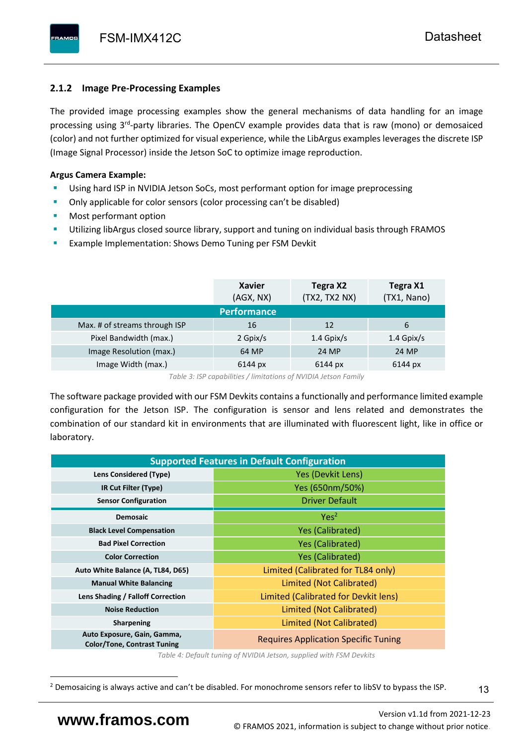# <span id="page-14-0"></span>**2.1.2 Image Pre-Processing Examples**

The provided image processing examples show the general mechanisms of data handling for an image processing using 3<sup>rd</sup>-party libraries. The OpenCV example provides data that is raw (mono) or demosaiced (color) and not further optimized for visual experience, while the LibArgus examples leverages the discrete ISP (Image Signal Processor) inside the Jetson SoC to optimize image reproduction.

# **Argus Camera Example:**

- Using hard ISP in NVIDIA Jetson SoCs, most performant option for image preprocessing
- Only applicable for color sensors (color processing can't be disabled)
- Most performant option
- Utilizing libArgus closed source library, support and tuning on individual basis through FRAMOS
- Example Implementation: Shows Demo Tuning per FSM Devkit

|                               | <b>Xavier</b><br>(AGX, NX) | Tegra X2<br>(TX2, TX2 NX) | Tegra X1<br>(TX1, Nano) |
|-------------------------------|----------------------------|---------------------------|-------------------------|
|                               | <b>Performance</b>         |                           |                         |
| Max. # of streams through ISP | 16                         | 12                        | 6                       |
| Pixel Bandwidth (max.)        | 2 Gpix/s                   | $1.4$ Gpix/s              | $1.4$ Gpix/s            |
| Image Resolution (max.)       | 64 MP                      | 24 MP                     | 24 MP                   |
| Image Width (max.)            | 6144 px                    | 6144 px                   | 6144 px                 |

*Table 3: ISP capabilities / limitations of NVIDIA Jetson Family*

The software package provided with our FSM Devkits contains a functionally and performance limited example configuration for the Jetson ISP. The configuration is sensor and lens related and demonstrates the combination of our standard kit in environments that are illuminated with fluorescent light, like in office or laboratory.

| <b>Supported Features in Default Configuration</b>                |                                             |  |  |  |  |  |  |
|-------------------------------------------------------------------|---------------------------------------------|--|--|--|--|--|--|
| Lens Considered (Type)                                            | Yes (Devkit Lens)                           |  |  |  |  |  |  |
| IR Cut Filter (Type)                                              | Yes (650nm/50%)                             |  |  |  |  |  |  |
| <b>Sensor Configuration</b>                                       | <b>Driver Default</b>                       |  |  |  |  |  |  |
| <b>Demosaic</b>                                                   | Yes <sup>2</sup>                            |  |  |  |  |  |  |
| <b>Black Level Compensation</b>                                   | <b>Yes (Calibrated)</b>                     |  |  |  |  |  |  |
| <b>Bad Pixel Correction</b>                                       | <b>Yes (Calibrated)</b>                     |  |  |  |  |  |  |
| <b>Color Correction</b>                                           | <b>Yes (Calibrated)</b>                     |  |  |  |  |  |  |
| Auto White Balance (A, TL84, D65)                                 | Limited (Calibrated for TL84 only)          |  |  |  |  |  |  |
| <b>Manual White Balancing</b>                                     | Limited (Not Calibrated)                    |  |  |  |  |  |  |
| Lens Shading / Falloff Correction                                 | Limited (Calibrated for Devkit lens)        |  |  |  |  |  |  |
| <b>Noise Reduction</b>                                            | Limited (Not Calibrated)                    |  |  |  |  |  |  |
| <b>Sharpening</b>                                                 | Limited (Not Calibrated)                    |  |  |  |  |  |  |
| Auto Exposure, Gain, Gamma,<br><b>Color/Tone, Contrast Tuning</b> | <b>Requires Application Specific Tuning</b> |  |  |  |  |  |  |

*Table 4: Default tuning of NVIDIA Jetson, supplied with FSM Devkits*

<sup>&</sup>lt;sup>2</sup> Demosaicing is always active and can't be disabled. For monochrome sensors refer to libSV to bypass the ISP.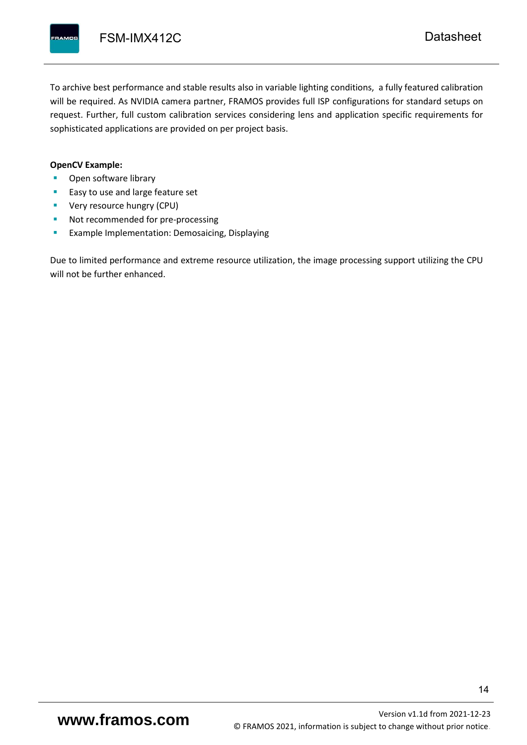To archive best performance and stable results also in variable lighting conditions, a fully featured calibration will be required. As NVIDIA camera partner, FRAMOS provides full ISP configurations for standard setups on request. Further, full custom calibration services considering lens and application specific requirements for sophisticated applications are provided on per project basis.

#### **OpenCV Example:**

- Open software library
- Easy to use and large feature set
- **•** Very resource hungry (CPU)
- Not recommended for pre-processing
- **Example Implementation: Demosaicing, Displaying**

Due to limited performance and extreme resource utilization, the image processing support utilizing the CPU will not be further enhanced.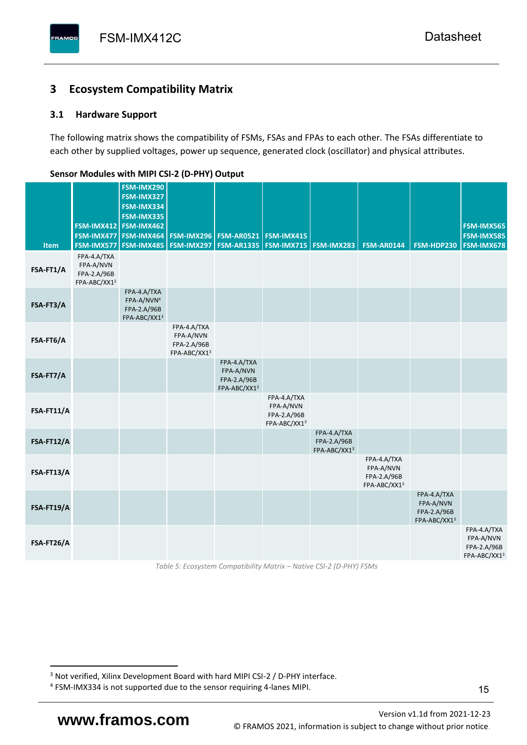# <span id="page-16-0"></span>**3 Ecosystem Compatibility Matrix**

# <span id="page-16-1"></span>**3.1 Hardware Support**

The following matrix shows the compatibility of FSMs, FSAs and FPAs to each other. The FSAs differentiate to each other by supplied voltages, power up sequence, generated clock (oscillator) and physical attributes.

| Item       | FSM-IMX577                                              | FSM-IMX290<br>FSM-IMX327<br>FSM-IMX334<br>FSM-IMX335<br>FSM-IMX412 FSM-IMX462<br>FSM-IMX477   FSM-IMX464<br><b>FSM-IMX485</b> | <b>FSM-IMX296</b><br><b>FSM-IMX297</b>                  | <b>FSM-AR0521</b><br><b>FSM-AR1335</b>                  | <b>FSM-IMX415</b>                                       | <b>FSM-IMX715 FSM-IMX283</b>               | <b>FSM-AR0144</b>                                       | FSM-HDP230                                              | <b>FSM-IMX565</b><br>FSM-IMX585<br><b>FSM-IMX678</b>    |
|------------|---------------------------------------------------------|-------------------------------------------------------------------------------------------------------------------------------|---------------------------------------------------------|---------------------------------------------------------|---------------------------------------------------------|--------------------------------------------|---------------------------------------------------------|---------------------------------------------------------|---------------------------------------------------------|
| FSA-FT1/A  | FPA-4.A/TXA<br>FPA-A/NVN<br>FPA-2.A/96B<br>FPA-ABC/XX13 |                                                                                                                               |                                                         |                                                         |                                                         |                                            |                                                         |                                                         |                                                         |
| FSA-FT3/A  |                                                         | FPA-4.A/TXA<br>FPA-A/NVN <sup>4</sup><br>FPA-2.A/96B<br>FPA-ABC/XX13                                                          |                                                         |                                                         |                                                         |                                            |                                                         |                                                         |                                                         |
| FSA-FT6/A  |                                                         |                                                                                                                               | FPA-4.A/TXA<br>FPA-A/NVN<br>FPA-2.A/96B<br>FPA-ABC/XX13 |                                                         |                                                         |                                            |                                                         |                                                         |                                                         |
| FSA-FT7/A  |                                                         |                                                                                                                               |                                                         | FPA-4.A/TXA<br>FPA-A/NVN<br>FPA-2.A/96B<br>FPA-ABC/XX13 |                                                         |                                            |                                                         |                                                         |                                                         |
| FSA-FT11/A |                                                         |                                                                                                                               |                                                         |                                                         | FPA-4.A/TXA<br>FPA-A/NVN<br>FPA-2.A/96B<br>FPA-ABC/XX13 |                                            |                                                         |                                                         |                                                         |
| FSA-FT12/A |                                                         |                                                                                                                               |                                                         |                                                         |                                                         | FPA-4.A/TXA<br>FPA-2.A/96B<br>FPA-ABC/XX13 |                                                         |                                                         |                                                         |
| FSA-FT13/A |                                                         |                                                                                                                               |                                                         |                                                         |                                                         |                                            | FPA-4.A/TXA<br>FPA-A/NVN<br>FPA-2.A/96B<br>FPA-ABC/XX13 |                                                         |                                                         |
| FSA-FT19/A |                                                         |                                                                                                                               |                                                         |                                                         |                                                         |                                            |                                                         | FPA-4.A/TXA<br>FPA-A/NVN<br>FPA-2.A/96B<br>FPA-ABC/XX13 |                                                         |
| FSA-FT26/A |                                                         |                                                                                                                               |                                                         |                                                         |                                                         |                                            |                                                         |                                                         | FPA-4.A/TXA<br>FPA-A/NVN<br>FPA-2.A/96B<br>FPA-ABC/XX13 |

### <span id="page-16-2"></span>**Sensor Modules with MIPI CSI-2 (D-PHY) Output**

*Table 5: Ecosystem Compatibility Matrix – Native CSI-2 (D-PHY) FSMs*

Version [v1.1d](#page-0-3) from 2021-12-23 **www.framos.com** © FRAMOS 2021, [information is subject to change without prior notice.](mailto:sales@framos.de)

<sup>&</sup>lt;sup>3</sup> Not verified, Xilinx Development Board with hard MIPI CSI-2 / D-PHY interface.

<sup>4</sup> FSM-IMX334 is not supported due to the sensor requiring 4-lanes MIPI.